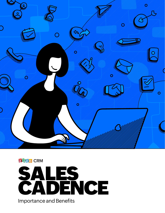



Importance and Benefits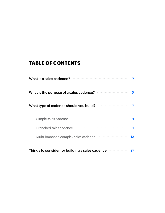### **TABLE OF CONTENTS**

| What is a sales cadence?                        | 5  |
|-------------------------------------------------|----|
| What is the purpose of a sales cadence?         | 5  |
| What type of cadence should you build?          |    |
| Simple sales cadence                            | 8  |
| Branched sales cadence                          | 11 |
| Multi-branched complex sales cadence            | 12 |
| Things to consider for building a sales cadence |    |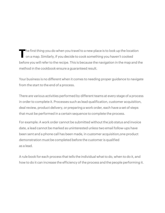To the first thing you do when you travel to a new place is to look up the location<br>on a map. Similarly, if you decide to cook something you haven't cooked before you will refer to the recipe. This is because the navigation in the map and the method in the cookbook ensure a guaranteed result.

Your business is no different when it comes to needing proper guidance to navigate from the start to the end of a process.

There are various activities performed by different teams at every stage of a process in order to complete it. Processes such as lead qualification, customer acquisition, deal review, product delivery, or preparing a work order, each have a set of steps that must be performed in a certain sequence to complete the process.

For example: A work order cannot be submitted without the job status and invoice date, a lead cannot be marked as uninterested unless two email follow-ups have been sent and a phone call has been made, in customer acquisition,one product demonstration must be completed before the customer is qualified as a lead.

A rule book for each process that tells the individual what to do, when to do it, and how to do it can increase the efficiency of the process and the people performing it.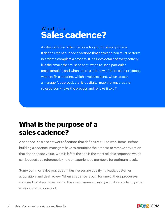## What is a **Sales cadence?**

A sales cadence is the rule book for your business process. It defines the sequence of actions that a salesperson must perform in order to complete a process. It includes details of every activity like the emails that must be sent, when to use a particular email template and when not to use it, how often to call a prospect, when to fix a meeting, which invoice to send, when to seek a manager's approval, etc. It is a digital map that ensures the salesperson knows the process and follows it to a T.

## **What is the purpose of a sales cadence?**

A cadence is a close network of actions that defines required work items. Before building a cadence, managers have to scrutinize the process to remove any action that does not add value. What is left at the end is the most reliable sequence which can be used as a reference by new or experienced members for optimum results.

Some common sales practices in businesses are qualifying leads, customer acquisition, and deal review. When a cadence is built for one of these processes, you need to take a closer look at the effectiveness of every activity and identify what works and what does not.

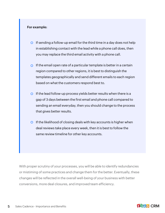#### **For example:**

- $\circ$  If sending a follow-up email for the third time in a day does not help in establishing contact with the lead while a phone call does, then you may replace the third email activity with a phone call.
- $\circ$  If the email open rate of a particular template is better in a certain region compared to other regions, it is best to distinguish the templates geographically and send different emails to each region based on what the customers respond best to.
- $\circ$  If the lead follow-up process yields better results when there is a gap of 3 days between the first email and phone call compared to sending an email everyday, then you should change to the process that gives better results.
- $\circ$  If the likelihood of closing deals with key accounts is higher when deal reviews take place every week, then it is best to follow the same review timeline for other key accounts.

With proper scrutiny of your processes, you will be able to identify redundancies or mistiming of some practices and change them for the better. Eventually, these changes will be reflected in the overall well-being of your business with better conversions, more deal closures, and improved team efficiency.

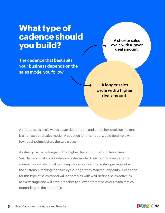# **What type of cadence should you build?**

**The cadence that best suits your business depends on the sales model you follow.**

**A shorter sales cycle with a lower deal amount.**

**A longer sales cycle with a higher deal amount.**

A shorter sales cycle with a lower deal amount and only a few decision makers is a transactional sales model. A cadence for this model would be simple with few touchpoints before the sale closes.

A sales cycle that is longer with a higher deal amount, which has at least 5–6 decision makers is a relational sales model. Usually, processes in larger companies are relational as the reps focus on building a stronger rapport with the customer, making the sales cycle longer with many touchpoints. A cadence for this type of sales model will be complex with well-defined sales activities at every stage and will have branches to allow different sales outreach tactics depending on the outcomes.

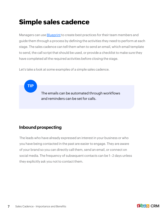# **Simple sales cadence**

Managers can use **Blueprint** to create best practices for their team members and guide them through a process by defining the activities they need to perform at each stage. The sales cadence can tell them when to send an email, which email template to send, the call script that should be used, or provide a checklist to make sure they have completed all the required activities before closing the stage.

Let's take a look at some examples of a simple sales cadence.

The emails can be automated through workflows and reminders can be set for calls.

### **Inbound prospecting**

**TIP**

The leads who have already expressed an interest in your business or who you have being contacted in the past are easier to engage. They are aware of your brand so you can directly call them, send an email, or connect on social media. The frequency of subsequent contacts can be 1–2 days unless they explicitly ask you not to contact them.

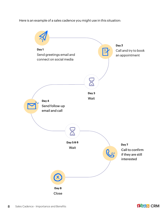Here is an example of a sales cadence you might use in this situation:



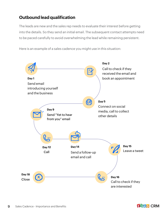### **Outbound lead qualification**

The leads are new and the sales rep needs to evaluate their interest before getting into the details. So they send an initial email. The subsequent contact attempts need to be paced carefully to avoid overwhelming the lead while remaining persistent.

Here is an example of a sales cadence you might use in this situation:



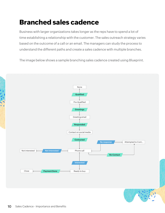# **Branched sales cadence**

Business with larger organizations takes longer as the reps have to spend a lot of time establishing a relationship with the customer. The sales outreach strategy varies based on the outcome of a call or an email. The managers can study the process to understand the different paths and create a sales cadence with multiple branches.

The image below shows a sample branching sales cadence created using Blueprint.

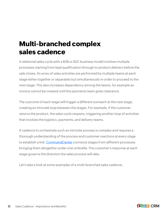## **Multi-branched complex sales cadence**

A relational sales cycle with a B2B or B2C business model involves multiple processes starting from lead qualification through to product delivery before the sale closes. An array of sales activities are performed by multiple teams at each stage either together or separately but simultaneously in order to proceed to the next stage. This also increases dependency among the teams, for example an invoice cannot be created until the payments team gives clearance.

The outcome of each stage will trigger a different outreach at the next stage, creating an intricate loop between the stages. For example, if the customer returns the product, the sales cycle reopens, triggering another loop of activities that involves the logistics, payments, and delivery teams.

A cadence to orchestrate such an intricate process is complex and requires a thorough understanding of the process and customer reactions at every stage to establish a link. [CommandCenter](https://help.zoho.com/portal/en/kb/crm/process-management/commandcenter/articles/commandcenter) connects stages from different processes bringing them altogether under one umbrella. The customer's response at each stage governs the direction the sales process will take.

Let's take a look at some examples of a multi-branched sales cadence.

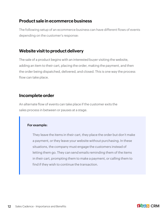#### **Product sale in ecommerce business**

The following setup of an ecommerce business can have different flows of events depending on the customer's response:

#### **Website visit to product delivery**

The sale of a product begins with an interested buyer visiting the website, adding an item to their cart, placing the order, making the payment, and then the order being dispatched, delivered, and closed. This is one way the process flow can take place.

#### **Incomplete order**

An alternate flow of events can take place if the customer exits the sales process in between or pauses at a stage.

#### **For example:**

They leave the items in their cart, they place the order but don't make a payment, or they leave your website without purchasing. In these situations, the company must engage the customers instead of letting them go. They can send emails reminding them of the items in their cart, prompting them to make a payment, or calling them to find if they wish to continue the transaction.



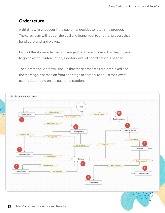### **Order return**

A third flow might occur if the customer decides to return the product. The sales team will reopen the deal and branch out to another process that handles refund and pickup.

Each of the above activities is managed by different teams. For the process to go on without interruption, a certain level of coordination is needed.

The CommandCenter will ensure that these processes are interlinked and the message is passed on from one stage to another to adjust the flow of events depending on the customer's actions.



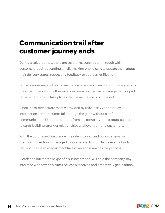## **Communication trail after customer journey ends**

During a sales journey, there are several reasons to stay in touch with customers, such as sending emails, making phone calls to update them about their delivery status, requesting feedback or address verification.

Some businesses, such as car insurance providers, need to communicate with their customers about other extended services like claim management or part replacement, which take place after the insurance is purchased.

Since these services are mostly provided by third-party vendors, key information can sometimes fall through the gaps without careful communication. Extended support from the company at this stage is a step towards building stronger relationships and loyalty among customers.

With the purchase of insurance, the sale is closed and policy renewal or premium collection is managed by a separate division. In the event of a claim request, the claims department takes over and manages the process.

A cadence built for this type of a business model will help the company stay informed whenever a claims request is received and proactively get in touch

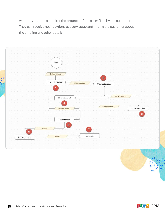with the vendors to monitor the progress of the claim filed by the customer. They can receive notificavtions at every stage and inform the customer about the timeline and other details.



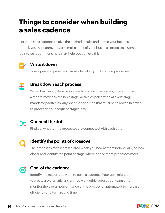## **Things to consider when building a sales cadence**

For your sales cadence to give the desired results and mimic your business model, you must unravel every small aspect of your business processes. Some points we recommend here may help you achieve this:



#### **Write it down**

Take a pen and paper and make a list of all your business processes.



#### **Break down each process**

Write down every detail about each process. The stages, how and when a record moves to the next stage, activities performed at every stage, mandatory activities, any specific condition that must be followed in order to proceed to subsequent stages, etc.



#### **Connect the dots**

Find out whether the processes are connected with each other.



#### **Identify the points of crossover**

The processes may seem isolated when you look at them individually, so look closer and identify the point or stage where one or more processes meet.



#### **Goal of the cadence**

Identify the reason you want to build a cadence. Your goal might be to create a systematic and unified work ethic across your team or to monitor the overall performance of the process or automate it to increase efficiency and turnaround time.

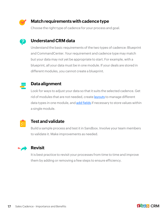

 $\left( 5\right)$ 

### **Match requirements with cadence type**

Choose the right type of cadence for your process and goal.

### **Understand CRM data**

Understand the basic requirements of the two types of cadence: Blueprint and CommandCenter. Your requirement and cadence type may match but your data may not yet be appropriate to start. For example, with a blueprint, all your data must be in one module. If your deals are stored in different modules, you cannot create a blueprint.



#### **Data alignment**

Look for ways to adjust your data so that it suits the selected cadence. Get rid of modules that are not needed, create **[layouts](https://help.zoho.com/portal/en/kb/crm/customize-crm-account/customizing-page-layouts/articles/create-conditional-layouts)** to manage different data types in one module, and [add fields](https://help.zoho.com/portal/en/kb/crm/customize-crm-account/customizing-fields/articles/types-of-fields) if necessary to store values within a single module.



#### **Test and validate**

Build a sample process and test it in Sandbox. Involve your team members to validate it. Make improvements as needed.



#### **Revisit**

It is best practice to revisit your processes from time to time and improve them by adding or removing a few steps to ensure efficiency.